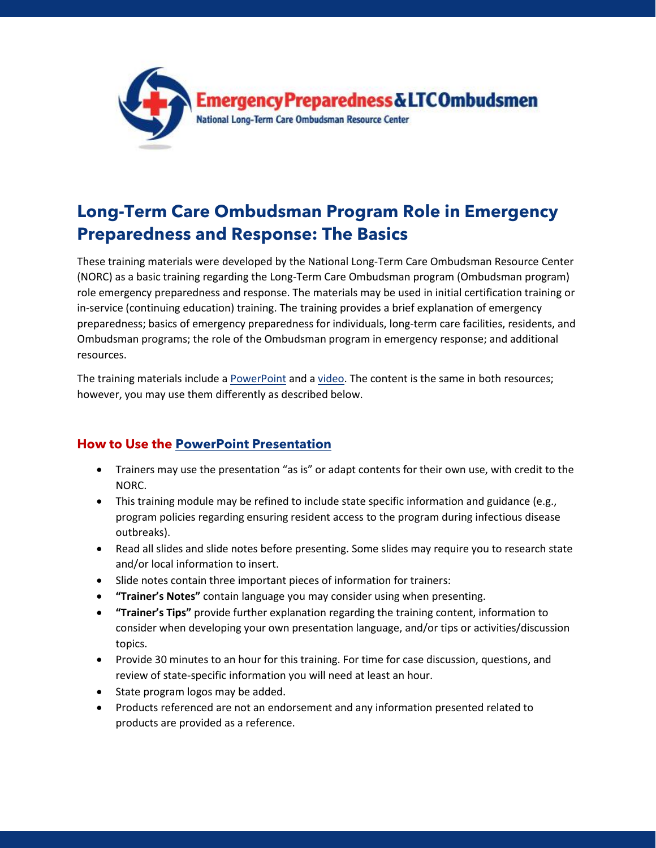

## **Long-Term Care Ombudsman Program Role in Emergency Preparedness and Response: The Basics**

These training materials were developed by the National Long-Term Care Ombudsman Resource Center (NORC) as a basic training regarding the Long-Term Care Ombudsman program (Ombudsman program) role emergency preparedness and response. The materials may be used in initial certification training or in-service (continuing education) training. The training provides a brief explanation of emergency preparedness; basics of emergency preparedness for individuals, long-term care facilities, residents, and Ombudsman programs; the role of the Ombudsman program in emergency response; and additional resources.

The training materials include a [PowerPoint](https://ltcombudsman.org/uploads/files/support/basic-ep-training-template-final.pptx) and [a video.](https://youtu.be/K99kUUmPHm4) The content is the same in both resources; however, you may use them differently as described below.

## **How to Use the [PowerPoint Presentation](https://ltcombudsman.org/uploads/files/support/basic-ep-training-template-final.pptx)**

- Trainers may use the presentation "as is" or adapt contents for their own use, with credit to the NORC.
- This training module may be refined to include state specific information and guidance (e.g., program policies regarding ensuring resident access to the program during infectious disease outbreaks).
- Read all slides and slide notes before presenting. Some slides may require you to research state and/or local information to insert.
- Slide notes contain three important pieces of information for trainers:
- **"Trainer's Notes"** contain language you may consider using when presenting.
- **"Trainer's Tips"** provide further explanation regarding the training content, information to consider when developing your own presentation language, and/or tips or activities/discussion topics.
- Provide 30 minutes to an hour for this training. For time for case discussion, questions, and review of state-specific information you will need at least an hour.
- State program logos may be added.
- Products referenced are not an endorsement and any information presented related to products are provided as a reference.